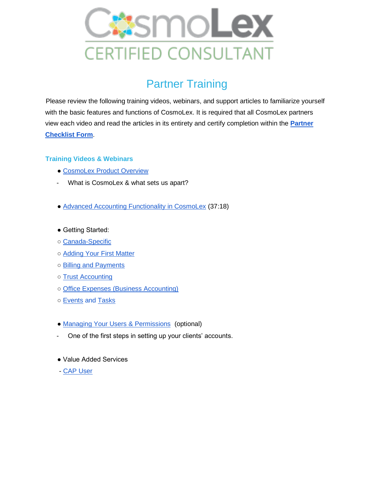

## **Partner Training**

Please review the following training videos, webinars, and support articles to familiarize yourself with the basic features and functions of CosmoLex. It is required that all CosmoLex partners view each video and read the articles in its entirety and certify completion within the **[Partner](https://docs.google.com/forms/d/e/1FAIpQLSfuzBXmvh90RhbidZpUllI8IEQqjZfGyIKVns_x8Pxy4k_kOw/viewform)  [Checklist Form](https://docs.google.com/forms/d/e/1FAIpQLSfuzBXmvh90RhbidZpUllI8IEQqjZfGyIKVns_x8Pxy4k_kOw/viewform)**.

## **Training Videos & Webinars**

- • [CosmoLex Product Overview](https://www.cosmolex.com/?video=overview)
- What is CosmoLex & what sets us apart?
- ● [Advanced Accounting Functionality in CosmoLex](https://support.cosmolex.com/knowledge-base/webinar-advanced-accounting-functionality/) (37:18)
- Getting Started:
- ○ [Canada-Specific](https://support.cosmolex.com/articles/canada-specific/)
- ○ [Adding Your First Matter](https://support.cosmolex.com/knowledge-base/manage-matters/)
- ○ [Billing and Payments](https://support.cosmolex.com/articles/billing/)
- ○ [Trust Accounting](https://support.cosmolex.com/knowledge-base/add-a-trust-withdrawal-transaction/)
- ○ [Office Expenses \(Business Accounting\)](https://support.cosmolex.com/articles/business-accounting/)
- o [Events](https://support.cosmolex.com/knowledge-base/add-edit-and-view-calendar-events/) and [Tasks](https://support.cosmolex.com/knowledge-base/add-edit-view-tasks/)
- • [Managing Your Users & Permissions](https://support.cosmolex.com/knowledge-base/manage-user-roles/) (optional)
- One of the first steps in setting up your clients' accounts.
- Value Added Services
- [CAP User](https://support.cosmolex.com/knowledge-base/add-cosmolex-accounting-partner-cap-to-subscription/)